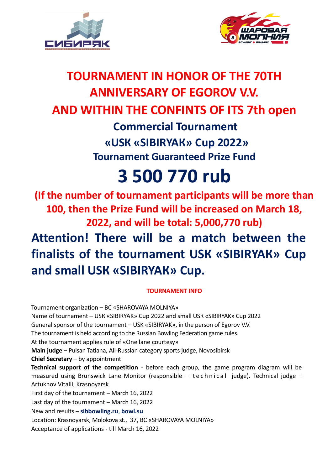



## **TOURNAMENT IN HONOR OF THE 70TH ANNIVERSARY OF EGOROV V.V. AND WITHIN THE CONFINTS OF ITS 7th open Commercial Tournament «USК «SIBIRYAК» Cup 2022» Tournament Guaranteed Prize Fund**

# **3 500 770 rub**

**(If the number of tournament participants will be more than 100, then the Prize Fund will be increased on March 18, 2022, and will be total: 5,000,770 rub) Attention! There will be a match between the finalists of the tournament USК «SIBIRYAК» Cup and small USК «SIBIRYAК» Cup.**

## **TOURNAMENT INFO**

Tournament organization – BC «SHAROVAYA MOLNIYA» Name of tournament – USК «SIBIRYAK» Cup 2022 and small USК «SIBIRYAK» Cup 2022 General sponsor of the tournament – USK «SIBIRYAK», in the person of Egorov V.V. The tournament is held according to the Russian Bowling Federation game rules. At the tournament applies rule of «One lane courtesy» **Main judge** – Puisan Tatiana, All-Russian category sports judge, Novosibirsk **Chief Secretary** – by appointment **Technical support of the competition** - before each group, the game program diagram will be measured using Brunswick Lane Monitor (responsible - technical judge). Technical judge -Artukhov Vitalii, Krasnoyarsk First day of the tournament – March 16, 2022 Last day of the tournament – March 16, 2022 New and results – **[sibbowling.ru](http://www.sibbowling.ru/)**, **[bowl.su](http://www.bowl.su/)** Location: Krasnoyarsk, Molokova st., 37, BC «SHAROVAYA MOLNIYA»

Acceptance of applications - till March 16, 2022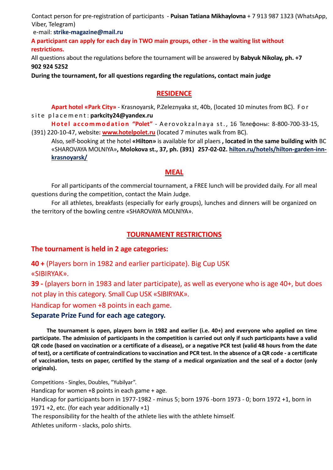Contact person for pre-registration of participants - **Puisan Tatiana Mikhaylovna** + 7 913 987 1323 (WhatsАpp, Viber, Telegram)

e-mail: **[strike-magazine@mail.ru](mailto:strike-magazine@mail.ru)**

**A participant can apply for each day in TWO main groups, other - in the waiting list without restrictions.**

All questions about the regulations before the tournament will be answered by **Babyuk Nikolay, ph. +7 902 924 5252**

**During the tournament, for all questions regarding the regulations, contact main judge**

## **RESIDENCE**

**Apart hotel «Park City»** - Krasnoyarsk, P.Zeleznyaka st, 40b, (located 10 minutes from BC). F o r s i t e p l a c e m e n t : **[parkcity24@yandex.ru](mailto:parkcity24@yandex.ru)**

Hotel accommodation "Polet" - Aerovokzalnaya st., 16 Телефоны: 8-800-700-33-15, (391) 220-10-47, website**: [www.hotelpolet.ru](http://www.hotelpolet.ru/)** (located 7 minutes walk from BC).

Also, self-booking at the hotel **«Hilton»** is available for all plaers **, located in the same building with** BC «SHAROVAYA MOLNIYA»**, Molokova st., 37, ph. (391) 257-02-02. [hilton.ru/hotels/hilton-garden-inn](https://www.hilton.ru/hotels/hilton-garden-inn-krasnoyarsk/)[krasnoyarsk/](https://www.hilton.ru/hotels/hilton-garden-inn-krasnoyarsk/)**

#### **MEAL**

For all participants of the commercial tournament, a FREE lunch will be provided daily. For all meal questions during the competition, contact the Main Judge.

For all athletes, breakfasts (especially for early groups), lunches and dinners will be organized on the territory of the bowling centre «SHAROVAYA MOLNIYA».

## **TOURNAMENT RESTRICTIONS**

## **The tournament is held in 2 age categories:**

**40 +** (Players born in 1982 and earlier participate). Big Cup USK «SIBIRYAK».

**39 -** (players born in 1983 and later participate), as well as everyone who is age 40+, but does not play in this category. Small Cup USK «SIBIRYAK».

Handicap for women +8 points in each game.

## **Separate Prize Fund for each age category.**

**The tournament is open, players born in 1982 and earlier (i.e. 40+) and everyone who applied on time participate. The admission of participants in the competition is carried out only if such participants have a valid QR code (based on vaccination or a certificate of a disease), or a negative PCR test (valid 48 hours from the date of test), or a certificate of contraindications to vaccination and PCR test. In the absence of a QR code - a certificate of vaccination, tests on paper, certified by the stamp of a medical organization and the seal of a doctor (only originals).**

Competitions - Singles, Doubles, "Yubilyar".

Handicap for women +8 points in each game + age.

Handicap for participants born in 1977-1982 - minus 5; born 1976 -born 1973 - 0; born 1972 +1, born in 1971 +2, etc. (for each year additionally +1)

The responsibility for the health of the athlete lies with the athlete himself.

Athletes uniform - slacks, polo shirts.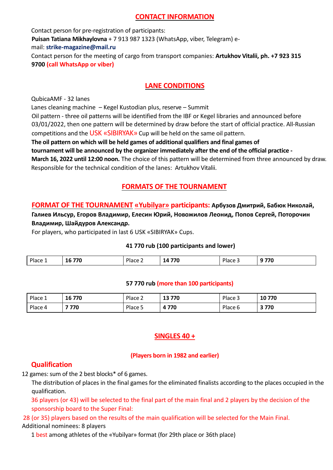## **CONTACT INFORMATION**

Contact person for pre-registration of participants: **Puisan Tatiana Mikhaylovna** + 7 913 987 1323 (WhatsАpp, viber, Telegram) email: **[strike-magazine@mail.ru](mailto:strike-magazine@mail.ru)** Contact person for the meeting of cargo from transport companies: **Artukhov Vitalii, ph. +7 923 315 9700 (call WhatsАpp or viber)**

## **LANE CONDITIONS**

QubicaAMF - 32 lanes

Lanes cleaning machine – Kegel Kustodian plus, reserve – Summit

Oil pattern - three oil patterns will be identified from the IBF or Kegel libraries and announced before 03/01/2022, then one pattern will be determined by draw before the start of official practice. All-Russian competitions and the USK «SIBIRYAK» Cup will be held on the same oil pattern.

**The oil pattern on which will be held games of additional qualifiers and final games of**

**tournament will be announced by the organizer immediately after the end of the official practice -**

**March 16, 2022 until 12:00 noon.** The choice of this pattern will be determined from three announced by draw. Responsible for the technical condition of the lanes: Artukhov Vitalii.

## **FORMATS OF THE TOURNAMENT**

**FORMAT OF THE TOURNAMENT «Yubilyar» participants: Арбузов Дмитрий, Бабюк Николай, Галиев Ильсур, Егоров Владимир, Елесин Юрий, Новожилов Леонид, Попов Сергей, Поторочин Владимир, Шайдуров Александр.**

For players, who participated in last 6 USK «SIBIRYAK» Cups.

## **41 770 rub (100 participants and lower)**

| Plac<br>,,,<br>770<br>$\prime$<br>. .<br>10 J<br>ື<br>______<br>.<br>.<br>$\sim$ |  |  |  |
|----------------------------------------------------------------------------------|--|--|--|
|                                                                                  |  |  |  |

## **57 770 rub (more than 100 participants)**

| Place.  | 16 770 | Place $\sim$ | 770<br>כו<br>TJ. | Place $\overline{z}$ | 10770 |
|---------|--------|--------------|------------------|----------------------|-------|
| Place 4 | 770    | Place 5      | 770<br>Д         | Place 6              | 3770  |

## **SINGLES 40 +**

## **(Players born in 1982 and earlier)**

## **Qualification**

12 games: sum of the 2 best blocks\* of 6 games.

The distribution of places in the final games for the eliminated finalists according to the places occupied in the qualification.

36 players (or 43) will be selected to the final part of the main final and 2 players by the decision of the sponsorship board to the Super Final:

#### 28 (or 35) players based on the results of the main qualification will be selected for the Main Final. Additional nominees: 8 players

1 best among athletes of the «Yubilyar» format (for 29th place or 36th place)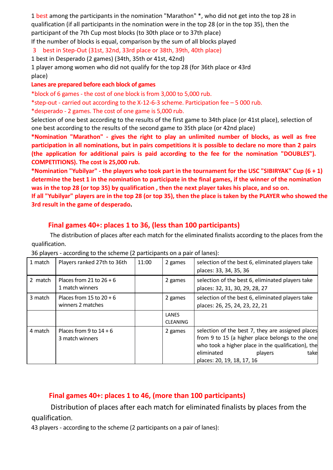1 best among the participants in the nomination "Marathon" \*, who did not get into the top 28 in qualification (if all participants in the nomination were in the top 28 (or in the top 35), then the participant of the 7th Cup most blocks (to 30th place or to 37th place)

If the number of blocks is equal, comparison by the sum of all blocks played

3 best in Step-Out (31st, 32nd, 33rd place or 38th, 39th, 40th place)

1 best in Desperado (2 games) (34th, 35th or 41st, 42nd)

1 player among women who did not qualify for the top 28 (for 36th place or 43rd place)

#### **Lanes are prepared before each block of games**

\*block of 6 games - the cost of one block is from 3,000 to 5,000 rub.

\*step-out - carried out according to the X-12-6-3 scheme. Participation fee – 5 000 rub.

\*desperado - 2 games. The cost of one game is 5,000 rub.

Selection of one best according to the results of the first game to 34th place (or 41st place), selection of one best according to the results of the second game to 35th place (or 42nd place)

**\*Nomination "Marathon" - gives the right to play an unlimited number of blocks, as well as free participation in all nominations, but in pairs competitions it is possible to declare no more than 2 pairs (the application for additional pairs is paid according to the fee for the nomination "DOUBLES"). COMPETITIONS). The cost is 25,000 rub.**

**\*Nomination "Yubilyar" - the players who took part in the tournament for the USC "SIBIRYAK" Cup (6 + 1) determine the best 1 in the nomination to participate in the final games, if the winner of the nomination was in the top 28 (or top 35) by qualification , then the next player takes his place, and so on.**

**If all "Yubilyar" players are in the top 28 (or top 35), then the place is taken by the PLAYER who showed the 3rd result in the game of desperado.**

## **Final games 40+: places 1 to 36, (less than 100 participants)**

The distribution of places after each match for the eliminated finalists according to the places from the qualification.

36 players - according to the scheme (2 participants on a pair of lanes):

| 1 match | Players ranked 27th to 36th                     | 11:00 | 2 games                  | selection of the best 6, eliminated players take<br>places: 33, 34, 35, 36                                                                                                                                                |
|---------|-------------------------------------------------|-------|--------------------------|---------------------------------------------------------------------------------------------------------------------------------------------------------------------------------------------------------------------------|
| 2 match | Places from 21 to $26 + 6$<br>1 match winners   |       | 2 games                  | selection of the best 6, eliminated players take<br>places: 32, 31, 30, 29, 28, 27                                                                                                                                        |
| 3 match | Places from 15 to $20 + 6$<br>winners 2 matches |       | 2 games                  | selection of the best 6, eliminated players take<br>places: 26, 25, 24, 23, 22, 21                                                                                                                                        |
|         |                                                 |       | LANES<br><b>CLEANING</b> |                                                                                                                                                                                                                           |
| 4 match | Places from 9 to $14 + 6$<br>3 match winners    |       | 2 games                  | selection of the best 7, they are assigned places<br>from 9 to 15 (a higher place belongs to the one<br>who took a higher place in the qualification), the<br>eliminated<br>take<br>players<br>places: 20, 19, 18, 17, 16 |

## **Final games 40+: places 1 to 46, (more than 100 participants)**

Distribution of places after each match for eliminated finalists by places from the qualification.

43 players - according to the scheme (2 participants on a pair of lanes):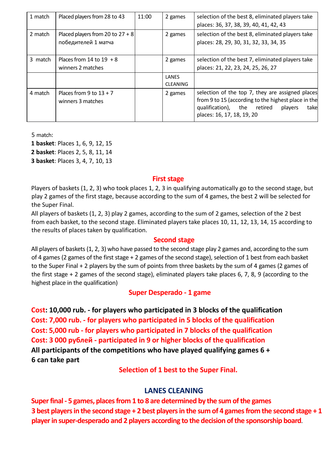| 1 match | Placed players from 28 to 43                              | 11:00 | 2 games                  | selection of the best 8, eliminated players take<br>places: 36, 37, 38, 39, 40, 41, 42, 43                                                                                               |
|---------|-----------------------------------------------------------|-------|--------------------------|------------------------------------------------------------------------------------------------------------------------------------------------------------------------------------------|
| 2 match | Placed players from 20 to $27 + 8$<br>победителей 1 матча |       | 2 games                  | selection of the best 8, eliminated players take<br>places: 28, 29, 30, 31, 32, 33, 34, 35                                                                                               |
| 3 match | Places from 14 to $19 + 8$<br>winners 2 matches           |       | 2 games                  | selection of the best 7, eliminated players take<br>places: 21, 22, 23, 24, 25, 26, 27                                                                                                   |
|         |                                                           |       | LANES<br><b>CLEANING</b> |                                                                                                                                                                                          |
| 4 match | Places from 9 to $13 + 7$<br>winners 3 matches            |       | 2 games                  | selection of the top 7, they are assigned places<br>from 9 to 15 (according to the highest place in the<br>qualification), the retired<br>players<br>takel<br>places: 16, 17, 18, 19, 20 |

5 match:

**1 basket**: Places 1, 6, 9, 12, 15

**2 basket**: Places 2, 5, 8, 11, 14

**3 basket**: Places 3, 4, 7, 10, 13

#### **First stage**

Players of baskets (1, 2, 3) who took places 1, 2, 3 in qualifying automatically go to the second stage, but play 2 games of the first stage, because according to the sum of 4 games, the best 2 will be selected for the Super Final.

All players of baskets (1, 2, 3) play 2 games, according to the sum of 2 games, selection of the 2 best from each basket, to the second stage. Eliminated players take places 10, 11, 12, 13, 14, 15 according to the results of places taken by qualification.

#### **Second stage**

All players of baskets (1, 2, 3) who have passed to the second stage play 2 games and, according to the sum of 4 games (2 games of the first stage + 2 games of the second stage), selection of 1 best from each basket to the Super Final + 2 players by the sum of points from three baskets by the sum of 4 games (2 games of the first stage + 2 games of the second stage), eliminated players take places 6, 7, 8, 9 (according to the highest place in the qualification)

## **Super Desperado - 1 game**

**Cost: 10,000 rub. - for players who participated in 3 blocks of the qualification Cost: 7,000 rub. - for players who participated in 5 blocks of the qualification Cost: 5,000 rub - for players who participated in 7 blocks of the qualification Cost: 3 000 рублей - participated in 9 or higher blocks of the qualification All participants of the competitions who have played qualifying games 6 + 6 can take part**

**Selection of 1 best to the Super Final.**

## **LANES CLEANING**

**Super final - 5 games, places from 1 to 8 are determined by the sum of the games 3 best players in the second stage + 2 best players in the sum of 4 games from the second stage + 1 player in super-desperado and 2 players according to the decision of the sponsorship board**.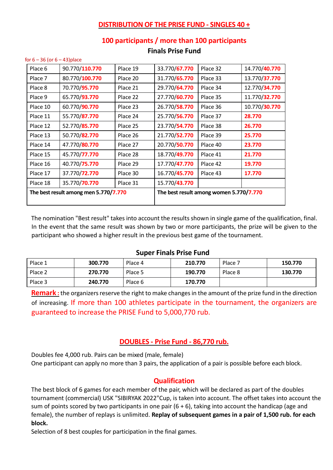## **DISTRIBUTION OF THE PRISE FUND - SINGLES 40 +**

#### **100 participants / more than 100 participants**

| Place 6                               | 90.770/110.770 | Place 19 | 33.770/67.770 | Place 32                                | 14.770/40.770 |
|---------------------------------------|----------------|----------|---------------|-----------------------------------------|---------------|
| Place 7                               | 80.770/100.770 | Place 20 | 31.770/65.770 | Place 33                                | 13.770/37.770 |
| Place 8                               | 70.770/95.770  | Place 21 | 29.770/64.770 | Place 34                                | 12.770/34.770 |
| Place 9                               | 65.770/93.770  | Place 22 | 27.770/60.770 | Place 35                                | 11.770/32.770 |
| Place 10                              | 60.770/90.770  | Place 23 | 26.770/58.770 | Place 36                                | 10.770/30.770 |
| Place 11                              | 55.770/87.770  | Place 24 | 25.770/56.770 | Place 37                                | 28.770        |
| Place 12                              | 52.770/85.770  | Place 25 | 23.770/54.770 | Place 38                                | 26.770        |
| Place 13                              | 50.770/82.770  | Place 26 | 21.770/52.770 | Place 39                                | 25.770        |
| Place 14                              | 47.770/80.770  | Place 27 | 20.770/50.770 | Place 40                                | 23.770        |
| Place 15                              | 45.770/77.770  | Place 28 | 18.770/49.770 | Place 41                                | 21.770        |
| Place 16                              | 40.770/75.770  | Place 29 | 17.770/47.770 | Place 42                                | 19.770        |
| Place 17                              | 37.770/72.770  | Place 30 | 16.770/45.770 | Place 43                                | 17.770        |
| Place 18                              | 35.770/70.770  | Place 31 | 15.770/43.770 |                                         |               |
| The best result among men 5.770/7.770 |                |          |               | The best result among women 5.770/7.770 |               |
|                                       |                |          |               |                                         |               |

## **Finals Prise Fund**

The nomination "Best result" takes into account the results shown in single game of the qualification, final. In the event that the same result was shown by two or more participants, the prize will be given to the participant who showed a higher result in the previous best game of the tournament.

#### **Super Finals Prise Fund**

| Place 1 | 300.770 | Place 4 | 210.770 | Place 7 | 150.770 |
|---------|---------|---------|---------|---------|---------|
| Place 2 | 270.770 | Place 5 | 190.770 | Place 8 | 130.770 |
| Place 3 | 240.770 | Place 6 | 170.770 |         |         |

**Remark :** the organizers reserve the right to make changes in the amount of the prize fund in the direction of increasing. If more than 100 athletes participate in the tournament, the organizers are guaranteed to increase the PRISE Fund to 5,000,770 rub.

#### **DOUBLES - Prise Fund - 86,770 rub.**

Doubles fee 4,000 rub. Pairs can be mixed (male, female)

for  $6 - 36$  (or  $6 - 43$ ) place

One participant can apply no more than 3 pairs, the application of a pair is possible before each block.

## **Qualification**

The best block of 6 games for each member of the pair, which will be declared as part of the doubles tournament (commercial) USK "SIBIRYAK 2022"Cup, is taken into account. The offset takes into account the sum of points scored by two participants in one pair  $(6 + 6)$ , taking into account the handicap (age and female), the number of replays is unlimited. **Replay of subsequent games in a pair of 1,500 rub. for each block.**

Selection of 8 best couples for participation in the final games.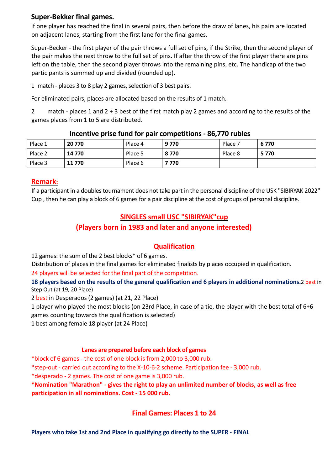## **Super-Bekker final games.**

If one player has reached the final in several pairs, then before the draw of lanes, his pairs are located on adjacent lanes, starting from the first lane for the final games.

Super-Becker - the first player of the pair throws a full set of pins, if the Strike, then the second player of the pair makes the next throw to the full set of pins. If after the throw of the first player there are pins left on the table, then the second player throws into the remaining pins, etc. The handicap of the two participants is summed up and divided (rounded up).

1 match - places 3 to 8 play 2 games, selection of 3 best pairs.

For eliminated pairs, places are allocated based on the results of 1 match.

2 match - places 1 and 2 + 3 best of the first match play 2 games and according to the results of the games places from 1 to 5 are distributed.

| Place 1 | 20 770 | Place 4 | 9770  | Place 7 | 6770    |
|---------|--------|---------|-------|---------|---------|
| Place 2 | 14 770 | Place 5 | 8770  | Place 8 | 5 7 7 0 |
| Place 3 | 11 770 | Place 6 | 7 770 |         |         |

#### **Incentive prise fund for pair competitions - 86,770 rubles**

#### **Remark:**

If a participant in a doubles tournament does not take part in the personal discipline of the USK "SIBIRYAK 2022" Cup , then he can play a block of 6 games for a pair discipline at the cost of groups of personal discipline.

## **SINGLES small USC "SIBIRYAK"cup**

## **(Players born in 1983 and later and anyone interested)**

## **Qualification**

12 games: the sum of the 2 best blocks\* of 6 games.

Distribution of places in the final games for eliminated finalists by places occupied in qualification.

24 players will be selected for the final part of the competition.

**18 players based on the results of the general qualification and 6 players in additional nominations.**2 best in Step Out (at 19, 20 Place)

2 best in Desperados (2 games) (at 21, 22 Place)

1 player who played the most blocks (on 23rd Place, in case of a tie, the player with the best total of 6+6 games counting towards the qualification is selected)

1 best among female 18 player (at 24 Place)

#### **Lanes are prepared before each block of games**

\*block of 6 games - the cost of one block is from 2,000 to 3,000 rub.

\*step-out - carried out according to the X-10-6-2 scheme. Participation fee - 3,000 rub.

\*desperado - 2 games. The cost of one game is 3,000 rub.

**\*Nomination "Marathon" - gives the right to play an unlimited number of blocks, as well as free participation in all nominations. Cost - 15 000 rub.**

## **Final Games: Places 1 to 24**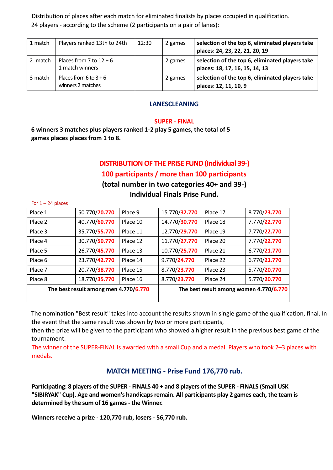Distribution of places after each match for eliminated finalists by places occupied in qualification. 24 players - according to the scheme (2 participants on a pair of lanes):

| 1 match | Players ranked 13th to 24th                  | 12:30 | 2 games | selection of the top 6, eliminated players take<br>places: 24, 23, 22, 21, 20, 19 |
|---------|----------------------------------------------|-------|---------|-----------------------------------------------------------------------------------|
| 2 match | Places from 7 to $12 + 6$<br>1 match winners |       | 2 games | selection of the top 6, eliminated players take<br>places: 18, 17, 16, 15, 14, 13 |
| 3 match | Places from 6 to $3+6$<br>winners 2 matches  |       | 2 games | selection of the top 6, eliminated players take<br>places: 12, 11, 10, 9          |

#### **LANESCLEANING**

#### **SUPER - FINAL**

**6 winners 3 matches plus players ranked 1-2 play 5 games, the total of 5 games places places from 1 to 8.**

For  $1 - 24$  places

## **DISTRIBUTION OF THE PRISE FUND (Individual 39-)**

## **100 participants / more than 100 participants**

**(total number in two categories 40+ and 39-)**

**Individual Finals Prise Fund.**

| Place 1                               | 50.770/70.770 | Place 9  | 15.770/32.770 | Place 17                                | 8.770/23.770 |
|---------------------------------------|---------------|----------|---------------|-----------------------------------------|--------------|
| Place 2                               | 40.770/60.770 | Place 10 | 14.770/30.770 | Place 18                                | 7.770/22.770 |
| Place 3                               | 35.770/55.770 | Place 11 | 12.770/29.770 | Place 19                                | 7.770/22.770 |
| Place 4                               | 30.770/50.770 | Place 12 | 11.770/27.770 | Place 20                                | 7.770/22.770 |
| Place 5                               | 26.770/45.770 | Place 13 | 10.770/25.770 | Place 21                                | 6.770/21.770 |
| Place 6                               | 23.770/42.770 | Place 14 | 9.770/24.770  | Place 22                                | 6.770/21.770 |
| Place 7                               | 20.770/38.770 | Place 15 | 8.770/23.770  | Place 23                                | 5.770/20.770 |
| Place 8                               | 18.770/35.770 | Place 16 | 8.770/23.770  | Place 24                                | 5.770/20.770 |
| The best result among men 4.770/6.770 |               |          |               | The best result among women 4.770/6.770 |              |
|                                       |               |          |               |                                         |              |

The nomination "Best result" takes into account the results shown in single game of the qualification, final. In the event that the same result was shown by two or more participants,

then the prize will be given to the participant who showed a higher result in the previous best game of the tournament.

The winner of the SUPER-FINAL is awarded with a small Cup and a medal. Players who took 2–3 places with medals.

## **MATCH MEETING - Prise Fund 176,770 rub.**

**Participating: 8 players of the SUPER - FINALS 40 + and 8 players of the SUPER - FINALS (Small USK "SIBIRYAK" Cup). Age and women's handicaps remain. All participants play 2 games each, the team is determined by the sum of 16 games - the Winner.**

**Winners receive a prize - 120,770 rub, losers - 56,770 rub.**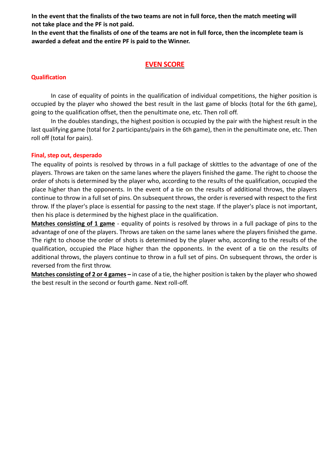**In the event that the finalists of the two teams are not in full force, then the match meeting will not take place and the PF is not paid.**

**In the event that the finalists of one of the teams are not in full force, then the incomplete team is awarded a defeat and the entire PF is paid to the Winner.**

## **EVEN SCORE**

#### **Qualification**

In case of equality of points in the qualification of individual competitions, the higher position is occupied by the player who showed the best result in the last game of blocks (total for the 6th game), going to the qualification offset, then the penultimate one, etc. Then roll off.

In the doubles standings, the highest position is occupied by the pair with the highest result in the last qualifying game (total for 2 participants/pairs in the 6th game), then in the penultimate one, etc. Then roll off (total for pairs).

#### **Final, step out, desperado**

The equality of points is resolved by throws in a full package of skittles to the advantage of one of the players. Throws are taken on the same lanes where the players finished the game. The right to choose the order of shots is determined by the player who, according to the results of the qualification, occupied the place higher than the opponents. In the event of a tie on the results of additional throws, the players continue to throw in a full set of pins. On subsequent throws, the order is reversed with respect to the first throw. If the player's place is essential for passing to the next stage. If the player's place is not important, then his place is determined by the highest place in the qualification.

**Matches consisting of 1 game** - equality of points is resolved by throws in a full package of pins to the advantage of one of the players. Throws are taken on the same lanes where the players finished the game. The right to choose the order of shots is determined by the player who, according to the results of the qualification, occupied the Place higher than the opponents. In the event of a tie on the results of additional throws, the players continue to throw in a full set of pins. On subsequent throws, the order is reversed from the first throw.

**Matches consisting of 2 or 4 games –** in case of a tie, the higher position is taken by the player who showed the best result in the second or fourth game. Next roll-off.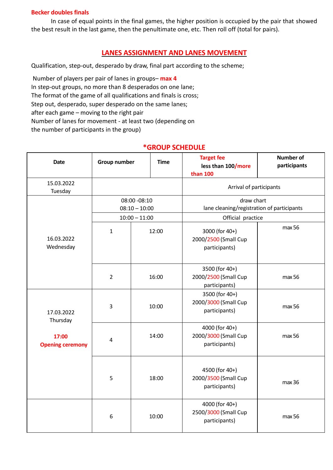#### **Becker doubles finals**

In case of equal points in the final games, the higher position is occupied by the pair that showed the best result in the last game, then the penultimate one, etc. Then roll off (total for pairs).

## **LANES ASSIGNMENT AND LANES MOVEMENT**

Qualification, step-out, desperado by draw, final part according to the scheme;

Number of players per pair of lanes in groups– **max 4** In step-out groups, no more than 8 desperados on one lane; The format of the game of all qualifications and finals is cross; Step out, desperado, super desperado on the same lanes; after each game – moving to the right pair Number of lanes for movement - at least two (depending on the number of participants in the group)

#### **Date Group number Time Target fee less than 100/more than 100 Number of participants** 15.03.2022 Tuesday **Arrival of participants**<br>Tuesday **Arrival of participants** 16.03.2022 Wednesday 08:00 -08:10 08:10 – 10:00 draw chart lane cleaning/registration of participants 10:00 – 11:00 Official practice 1 12:00 3000 (for 40+) 2000/2500 (Small Cup participants) max 56 2 16:00 3500 (for 40+) 2000/2500 (Small Cup participants) max 56 17.03.2022 Thursday **17:00 Opening ceremony** 3 10:00 3500 (for 40+) 2000/3000 (Small Cup participants) max 56 4 14:00 4000 (for 40+) 2000/3000 (Small Cup participants) max 56 5 18:00 4500 (for 40+) 2000/3500 (Small Cup participants) max 36

4000 (for 40+) 2500/3000 (Small Cup

 $participants)$  max 56

6 10:00

## **\*GROUP SCHEDULE**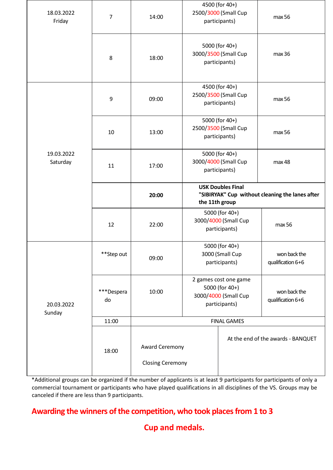| 18.03.2022<br>Friday   | 7                | 14:00                                     | 4500 (for 40+)<br>2500/3000 (Small Cup<br>participants)                                       |                    | max 56                             |
|------------------------|------------------|-------------------------------------------|-----------------------------------------------------------------------------------------------|--------------------|------------------------------------|
|                        | 8                | 18:00                                     | 5000 (for 40+)<br>3000/3500 (Small Cup<br>participants)                                       |                    | max 36                             |
|                        | 9                | 09:00                                     | 4500 (for 40+)<br>2500/3500 (Small Cup<br>participants)                                       |                    | max 56                             |
| 19.03.2022<br>Saturday | 10               | 13:00                                     | 5000 (for 40+)<br>2500/3500 (Small Cup<br>participants)                                       |                    | max 56                             |
|                        | 11               | 17:00                                     | 5000 (for 40+)<br>3000/4000 (Small Cup<br>participants)                                       |                    | max 48                             |
|                        |                  | 20:00                                     | <b>USK Doubles Final</b><br>"SIBIRYAK" Cup without cleaning the lanes after<br>the 11th group |                    |                                    |
|                        | 12               | 22:00                                     | 5000 (for 40+)<br>3000/4000 (Small Cup<br>participants)                                       |                    | max 56                             |
|                        | **Step out       | 09:00                                     | 5000 (for 40+)<br>3000 (Small Cup<br>participants)                                            |                    | won back the<br>qualification 6+6  |
| 20.03.2022<br>Sunday   | ***Despera<br>do | 10:00                                     | 2 games cost one game<br>5000 (for 40+)<br>3000/4000 (Small Cup<br>participants)              |                    | won back the<br>qualification 6+6  |
|                        | 11:00            |                                           |                                                                                               | <b>FINAL GAMES</b> |                                    |
|                        | 18:00            | Award Ceremony<br><b>Closing Ceremony</b> |                                                                                               |                    | At the end of the awards - BANQUET |

\*Additional groups can be organized if the number of applicants is at least 9 participants for participants of only a commercial tournament or participants who have played qualifications in all disciplines of the VS. Groups may be canceled if there are less than 9 participants.

## **Awarding the winners of the competition, who took places from 1 to 3**

**Cup and medals.**